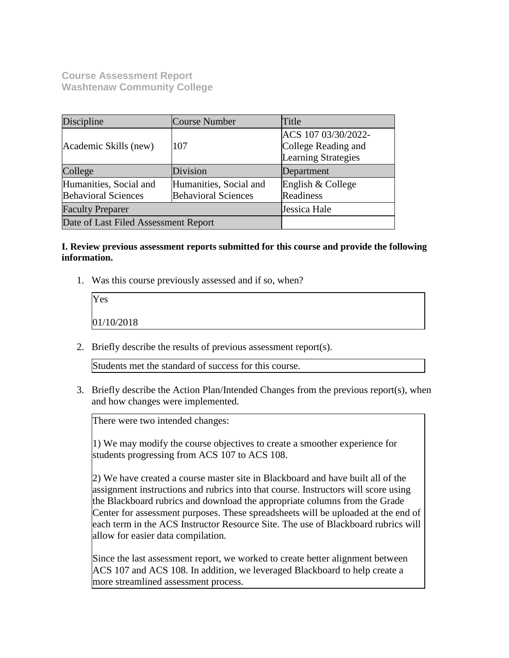**Course Assessment Report Washtenaw Community College**

| Discipline                           | Course Number              | Title                      |
|--------------------------------------|----------------------------|----------------------------|
|                                      |                            | ACS 107 03/30/2022-        |
| Academic Skills (new)                | 107                        | College Reading and        |
|                                      |                            | <b>Learning Strategies</b> |
| College                              | Division                   | Department                 |
| Humanities, Social and               | Humanities, Social and     | English & College          |
| <b>Behavioral Sciences</b>           | <b>Behavioral Sciences</b> | Readiness                  |
| <b>Faculty Preparer</b>              |                            | Jessica Hale               |
| Date of Last Filed Assessment Report |                            |                            |

## **I. Review previous assessment reports submitted for this course and provide the following information.**

1. Was this course previously assessed and if so, when?

| Yes        |  |  |
|------------|--|--|
| 01/10/2018 |  |  |

2. Briefly describe the results of previous assessment report(s).

Students met the standard of success for this course.

3. Briefly describe the Action Plan/Intended Changes from the previous report(s), when and how changes were implemented.

There were two intended changes:

1) We may modify the course objectives to create a smoother experience for students progressing from ACS 107 to ACS 108.

2) We have created a course master site in Blackboard and have built all of the assignment instructions and rubrics into that course. Instructors will score using the Blackboard rubrics and download the appropriate columns from the Grade Center for assessment purposes. These spreadsheets will be uploaded at the end of each term in the ACS Instructor Resource Site. The use of Blackboard rubrics will allow for easier data compilation.

Since the last assessment report, we worked to create better alignment between ACS 107 and ACS 108. In addition, we leveraged Blackboard to help create a more streamlined assessment process.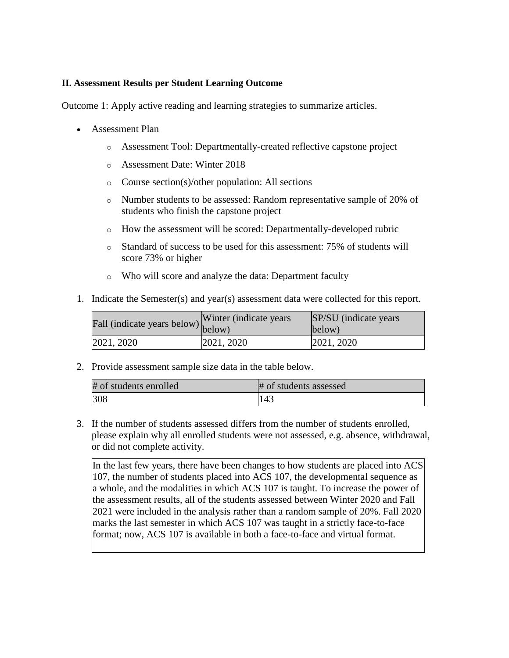### **II. Assessment Results per Student Learning Outcome**

Outcome 1: Apply active reading and learning strategies to summarize articles.

- Assessment Plan
	- o Assessment Tool: Departmentally-created reflective capstone project
	- o Assessment Date: Winter 2018
	- o Course section(s)/other population: All sections
	- o Number students to be assessed: Random representative sample of 20% of students who finish the capstone project
	- o How the assessment will be scored: Departmentally-developed rubric
	- o Standard of success to be used for this assessment: 75% of students will score 73% or higher
	- o Who will score and analyze the data: Department faculty
- 1. Indicate the Semester(s) and year(s) assessment data were collected for this report.

| Fall (indicate years below) below) | Winter (indicate years) | SP/SU (indicate years)<br>below) |
|------------------------------------|-------------------------|----------------------------------|
| 2021, 2020                         | 2021, 2020              | 2021, 2020                       |

2. Provide assessment sample size data in the table below.

| # of students enrolled | # of students assessed |
|------------------------|------------------------|
| 308                    | 143                    |

3. If the number of students assessed differs from the number of students enrolled, please explain why all enrolled students were not assessed, e.g. absence, withdrawal, or did not complete activity.

In the last few years, there have been changes to how students are placed into ACS 107, the number of students placed into ACS 107, the developmental sequence as a whole, and the modalities in which ACS 107 is taught. To increase the power of the assessment results, all of the students assessed between Winter 2020 and Fall 2021 were included in the analysis rather than a random sample of 20%. Fall 2020 marks the last semester in which ACS 107 was taught in a strictly face-to-face format; now, ACS 107 is available in both a face-to-face and virtual format.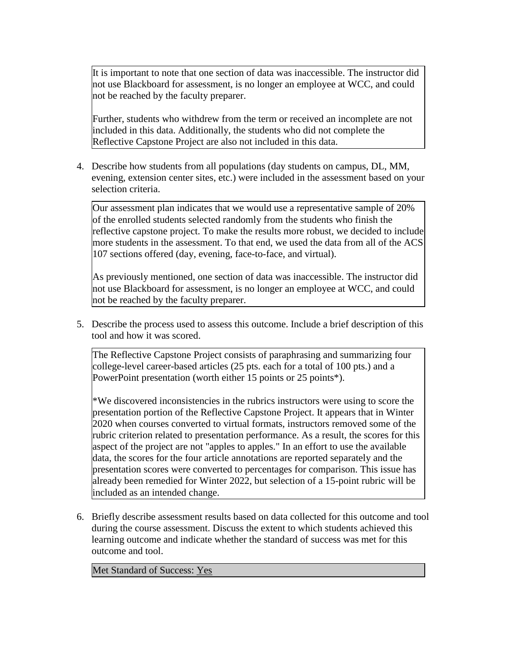It is important to note that one section of data was inaccessible. The instructor did not use Blackboard for assessment, is no longer an employee at WCC, and could not be reached by the faculty preparer.

Further, students who withdrew from the term or received an incomplete are not included in this data. Additionally, the students who did not complete the Reflective Capstone Project are also not included in this data.

4. Describe how students from all populations (day students on campus, DL, MM, evening, extension center sites, etc.) were included in the assessment based on your selection criteria.

Our assessment plan indicates that we would use a representative sample of 20% of the enrolled students selected randomly from the students who finish the reflective capstone project. To make the results more robust, we decided to include more students in the assessment. To that end, we used the data from all of the ACS 107 sections offered (day, evening, face-to-face, and virtual).

As previously mentioned, one section of data was inaccessible. The instructor did not use Blackboard for assessment, is no longer an employee at WCC, and could not be reached by the faculty preparer.

5. Describe the process used to assess this outcome. Include a brief description of this tool and how it was scored.

The Reflective Capstone Project consists of paraphrasing and summarizing four college-level career-based articles (25 pts. each for a total of 100 pts.) and a PowerPoint presentation (worth either 15 points or 25 points<sup>\*</sup>).

\*We discovered inconsistencies in the rubrics instructors were using to score the presentation portion of the Reflective Capstone Project. It appears that in Winter 2020 when courses converted to virtual formats, instructors removed some of the rubric criterion related to presentation performance. As a result, the scores for this aspect of the project are not "apples to apples." In an effort to use the available data, the scores for the four article annotations are reported separately and the presentation scores were converted to percentages for comparison. This issue has already been remedied for Winter 2022, but selection of a 15-point rubric will be included as an intended change.

6. Briefly describe assessment results based on data collected for this outcome and tool during the course assessment. Discuss the extent to which students achieved this learning outcome and indicate whether the standard of success was met for this outcome and tool.

Met Standard of Success: Yes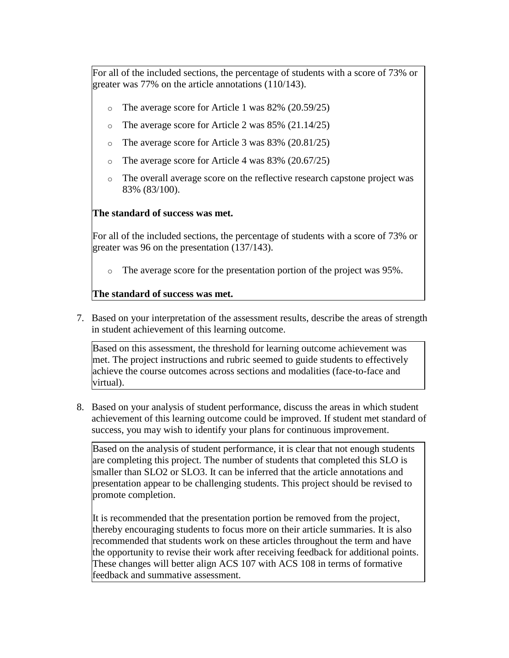For all of the included sections, the percentage of students with a score of 73% or greater was 77% on the article annotations (110/143).

- o The average score for Article 1 was 82% (20.59/25)
- The average score for Article 2 was  $85\%$  (21.14/25)
- The average score for Article 3 was  $83\%$  (20.81/25)
- The average score for Article 4 was  $83\%$  (20.67/25)
- o The overall average score on the reflective research capstone project was 83% (83/100).

# **The standard of success was met.**

For all of the included sections, the percentage of students with a score of 73% or greater was 96 on the presentation (137/143).

o The average score for the presentation portion of the project was 95%.

# **The standard of success was met.**

7. Based on your interpretation of the assessment results, describe the areas of strength in student achievement of this learning outcome.

Based on this assessment, the threshold for learning outcome achievement was met. The project instructions and rubric seemed to guide students to effectively achieve the course outcomes across sections and modalities (face-to-face and virtual).

8. Based on your analysis of student performance, discuss the areas in which student achievement of this learning outcome could be improved. If student met standard of success, you may wish to identify your plans for continuous improvement.

Based on the analysis of student performance, it is clear that not enough students are completing this project. The number of students that completed this SLO is smaller than SLO2 or SLO3. It can be inferred that the article annotations and presentation appear to be challenging students. This project should be revised to promote completion.

It is recommended that the presentation portion be removed from the project, thereby encouraging students to focus more on their article summaries. It is also recommended that students work on these articles throughout the term and have the opportunity to revise their work after receiving feedback for additional points. These changes will better align ACS 107 with ACS 108 in terms of formative feedback and summative assessment.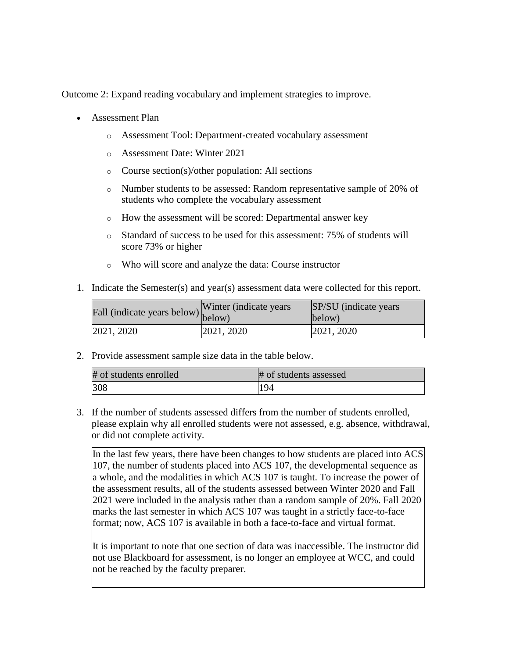Outcome 2: Expand reading vocabulary and implement strategies to improve.

- Assessment Plan
	- o Assessment Tool: Department-created vocabulary assessment
	- o Assessment Date: Winter 2021
	- o Course section(s)/other population: All sections
	- o Number students to be assessed: Random representative sample of 20% of students who complete the vocabulary assessment
	- o How the assessment will be scored: Departmental answer key
	- o Standard of success to be used for this assessment: 75% of students will score 73% or higher
	- o Who will score and analyze the data: Course instructor
- 1. Indicate the Semester(s) and year(s) assessment data were collected for this report.

| $\angle$ all (indicate years below) below) | Winter (indicate years) | SP/SU (indicate years)<br>below) |
|--------------------------------------------|-------------------------|----------------------------------|
| 2021, 2020                                 | 2021, 2020              | 2021, 2020                       |

2. Provide assessment sample size data in the table below.

| # of students enrolled | # of students assessed |
|------------------------|------------------------|
| 308                    | 194                    |

3. If the number of students assessed differs from the number of students enrolled, please explain why all enrolled students were not assessed, e.g. absence, withdrawal, or did not complete activity.

In the last few years, there have been changes to how students are placed into ACS 107, the number of students placed into ACS 107, the developmental sequence as a whole, and the modalities in which ACS 107 is taught. To increase the power of the assessment results, all of the students assessed between Winter 2020 and Fall 2021 were included in the analysis rather than a random sample of 20%. Fall 2020 marks the last semester in which ACS 107 was taught in a strictly face-to-face format; now, ACS 107 is available in both a face-to-face and virtual format.

It is important to note that one section of data was inaccessible. The instructor did not use Blackboard for assessment, is no longer an employee at WCC, and could not be reached by the faculty preparer.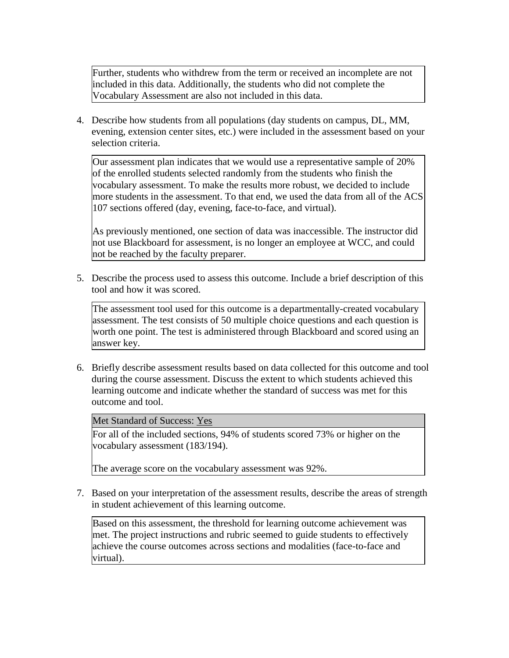Further, students who withdrew from the term or received an incomplete are not included in this data. Additionally, the students who did not complete the Vocabulary Assessment are also not included in this data.

4. Describe how students from all populations (day students on campus, DL, MM, evening, extension center sites, etc.) were included in the assessment based on your selection criteria.

Our assessment plan indicates that we would use a representative sample of 20% of the enrolled students selected randomly from the students who finish the vocabulary assessment. To make the results more robust, we decided to include more students in the assessment. To that end, we used the data from all of the ACS 107 sections offered (day, evening, face-to-face, and virtual).

As previously mentioned, one section of data was inaccessible. The instructor did not use Blackboard for assessment, is no longer an employee at WCC, and could not be reached by the faculty preparer.

5. Describe the process used to assess this outcome. Include a brief description of this tool and how it was scored.

The assessment tool used for this outcome is a departmentally-created vocabulary assessment. The test consists of 50 multiple choice questions and each question is worth one point. The test is administered through Blackboard and scored using an answer key.

6. Briefly describe assessment results based on data collected for this outcome and tool during the course assessment. Discuss the extent to which students achieved this learning outcome and indicate whether the standard of success was met for this outcome and tool.

Met Standard of Success: Yes

For all of the included sections, 94% of students scored 73% or higher on the vocabulary assessment (183/194).

The average score on the vocabulary assessment was 92%.

7. Based on your interpretation of the assessment results, describe the areas of strength in student achievement of this learning outcome.

Based on this assessment, the threshold for learning outcome achievement was met. The project instructions and rubric seemed to guide students to effectively achieve the course outcomes across sections and modalities (face-to-face and virtual).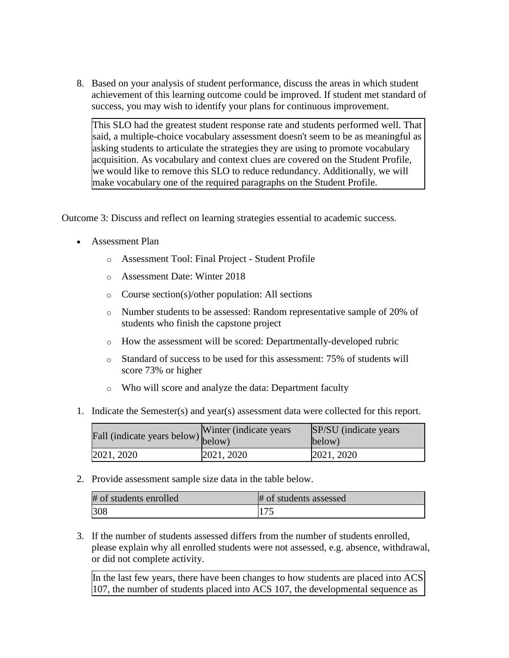8. Based on your analysis of student performance, discuss the areas in which student achievement of this learning outcome could be improved. If student met standard of success, you may wish to identify your plans for continuous improvement.

This SLO had the greatest student response rate and students performed well. That said, a multiple-choice vocabulary assessment doesn't seem to be as meaningful as asking students to articulate the strategies they are using to promote vocabulary acquisition. As vocabulary and context clues are covered on the Student Profile, we would like to remove this SLO to reduce redundancy. Additionally, we will make vocabulary one of the required paragraphs on the Student Profile.

Outcome 3: Discuss and reflect on learning strategies essential to academic success.

- Assessment Plan
	- o Assessment Tool: Final Project Student Profile
	- o Assessment Date: Winter 2018
	- o Course section(s)/other population: All sections
	- o Number students to be assessed: Random representative sample of 20% of students who finish the capstone project
	- o How the assessment will be scored: Departmentally-developed rubric
	- o Standard of success to be used for this assessment: 75% of students will score 73% or higher
	- o Who will score and analyze the data: Department faculty
- 1. Indicate the Semester(s) and year(s) assessment data were collected for this report.

| Fall (indicate years below) below) | Winter (indicate years) | SP/SU (indicate years)<br>below) |
|------------------------------------|-------------------------|----------------------------------|
| 2021, 2020                         | 2021, 2020              | 2021, 2020                       |

2. Provide assessment sample size data in the table below.

| # of students enrolled | # of students assessed |
|------------------------|------------------------|
| 308                    |                        |

3. If the number of students assessed differs from the number of students enrolled, please explain why all enrolled students were not assessed, e.g. absence, withdrawal, or did not complete activity.

In the last few years, there have been changes to how students are placed into ACS 107, the number of students placed into ACS 107, the developmental sequence as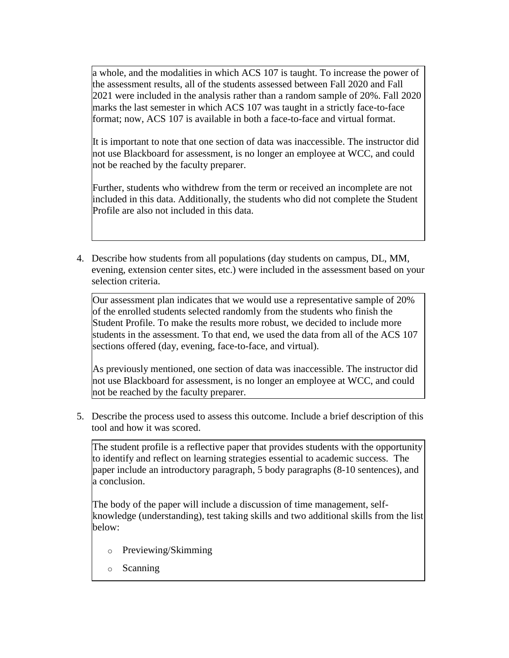a whole, and the modalities in which ACS 107 is taught. To increase the power of the assessment results, all of the students assessed between Fall 2020 and Fall 2021 were included in the analysis rather than a random sample of 20%. Fall 2020 marks the last semester in which ACS 107 was taught in a strictly face-to-face format; now, ACS 107 is available in both a face-to-face and virtual format.

It is important to note that one section of data was inaccessible. The instructor did not use Blackboard for assessment, is no longer an employee at WCC, and could not be reached by the faculty preparer.

Further, students who withdrew from the term or received an incomplete are not included in this data. Additionally, the students who did not complete the Student Profile are also not included in this data.

4. Describe how students from all populations (day students on campus, DL, MM, evening, extension center sites, etc.) were included in the assessment based on your selection criteria.

Our assessment plan indicates that we would use a representative sample of 20% of the enrolled students selected randomly from the students who finish the Student Profile. To make the results more robust, we decided to include more students in the assessment. To that end, we used the data from all of the ACS 107 sections offered (day, evening, face-to-face, and virtual).

As previously mentioned, one section of data was inaccessible. The instructor did not use Blackboard for assessment, is no longer an employee at WCC, and could not be reached by the faculty preparer.

5. Describe the process used to assess this outcome. Include a brief description of this tool and how it was scored.

The student profile is a reflective paper that provides students with the opportunity to identify and reflect on learning strategies essential to academic success. The paper include an introductory paragraph, 5 body paragraphs (8-10 sentences), and a conclusion.

The body of the paper will include a discussion of time management, selfknowledge (understanding), test taking skills and two additional skills from the list below:

- o Previewing/Skimming
- o Scanning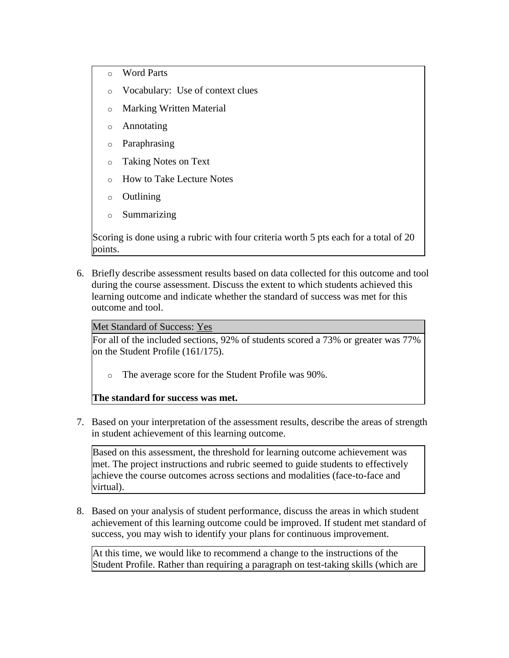- o Word Parts
- o Vocabulary: Use of context clues
- Marking Written Material
- Annotating
- Paraphrasing
- Taking Notes on Text
- How to Take Lecture Notes
- o Outlining
- o Summarizing

Scoring is done using a rubric with four criteria worth 5 pts each for a total of 20 points.

6. Briefly describe assessment results based on data collected for this outcome and tool during the course assessment. Discuss the extent to which students achieved this learning outcome and indicate whether the standard of success was met for this outcome and tool.

## Met Standard of Success: Yes

For all of the included sections, 92% of students scored a 73% or greater was 77% on the Student Profile (161/175).

o The average score for the Student Profile was 90%.

# **The standard for success was met.**

7. Based on your interpretation of the assessment results, describe the areas of strength in student achievement of this learning outcome.

Based on this assessment, the threshold for learning outcome achievement was met. The project instructions and rubric seemed to guide students to effectively achieve the course outcomes across sections and modalities (face-to-face and virtual).

8. Based on your analysis of student performance, discuss the areas in which student achievement of this learning outcome could be improved. If student met standard of success, you may wish to identify your plans for continuous improvement.

At this time, we would like to recommend a change to the instructions of the Student Profile. Rather than requiring a paragraph on test-taking skills (which are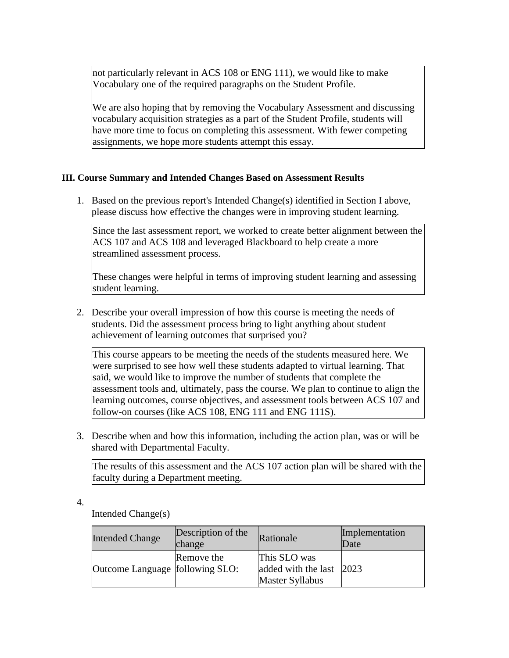not particularly relevant in ACS 108 or ENG 111), we would like to make Vocabulary one of the required paragraphs on the Student Profile.

We are also hoping that by removing the Vocabulary Assessment and discussing vocabulary acquisition strategies as a part of the Student Profile, students will have more time to focus on completing this assessment. With fewer competing assignments, we hope more students attempt this essay.

## **III. Course Summary and Intended Changes Based on Assessment Results**

1. Based on the previous report's Intended Change(s) identified in Section I above, please discuss how effective the changes were in improving student learning.

Since the last assessment report, we worked to create better alignment between the ACS 107 and ACS 108 and leveraged Blackboard to help create a more streamlined assessment process.

These changes were helpful in terms of improving student learning and assessing student learning.

2. Describe your overall impression of how this course is meeting the needs of students. Did the assessment process bring to light anything about student achievement of learning outcomes that surprised you?

This course appears to be meeting the needs of the students measured here. We were surprised to see how well these students adapted to virtual learning. That said, we would like to improve the number of students that complete the assessment tools and, ultimately, pass the course. We plan to continue to align the learning outcomes, course objectives, and assessment tools between ACS 107 and follow-on courses (like ACS 108, ENG 111 and ENG 111S).

3. Describe when and how this information, including the action plan, was or will be shared with Departmental Faculty.

The results of this assessment and the ACS 107 action plan will be shared with the faculty during a Department meeting.

4.

Intended Change(s)

| <b>Intended Change</b>            | Description of the<br>change | Rationale                                                          | Implementation<br>Date |
|-----------------------------------|------------------------------|--------------------------------------------------------------------|------------------------|
| Outcome Language   following SLO: | Remove the                   | This SLO was<br>added with the last 2023<br><b>Master Syllabus</b> |                        |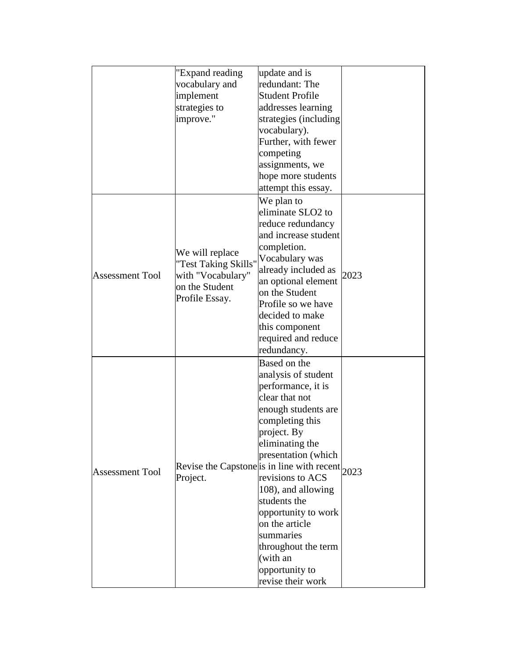|                        | "Expand reading      | update and is                                             |      |
|------------------------|----------------------|-----------------------------------------------------------|------|
|                        | vocabulary and       | redundant: The                                            |      |
|                        | implement            | <b>Student Profile</b>                                    |      |
|                        | strategies to        | addresses learning                                        |      |
|                        | improve."            | strategies (including                                     |      |
|                        |                      | vocabulary).                                              |      |
|                        |                      | Further, with fewer                                       |      |
|                        |                      | competing                                                 |      |
|                        |                      | assignments, we                                           |      |
|                        |                      | hope more students                                        |      |
|                        |                      | attempt this essay.                                       |      |
|                        |                      | We plan to                                                |      |
|                        |                      | eliminate SLO2 to                                         |      |
|                        |                      | reduce redundancy                                         |      |
|                        |                      | and increase student                                      |      |
|                        |                      | completion.                                               |      |
|                        | We will replace      | Vocabulary was                                            |      |
|                        | "Test Taking Skills" | already included as                                       |      |
| <b>Assessment Tool</b> | with "Vocabulary"    | an optional element                                       | 2023 |
|                        | on the Student       | on the Student                                            |      |
|                        | Profile Essay.       | Profile so we have                                        |      |
|                        |                      | decided to make                                           |      |
|                        |                      | this component                                            |      |
|                        |                      | required and reduce                                       |      |
|                        |                      | redundancy.                                               |      |
|                        |                      | Based on the                                              |      |
|                        |                      | analysis of student                                       |      |
|                        |                      | performance, it is                                        |      |
|                        |                      | clear that not                                            |      |
|                        |                      | enough students are                                       |      |
|                        |                      | completing this                                           |      |
|                        |                      | project. By                                               |      |
|                        |                      | eliminating the                                           |      |
|                        |                      | presentation (which                                       |      |
|                        |                      | Revise the Capstone is in line with recent $ 2023\rangle$ |      |
| <b>Assessment Tool</b> | Project.             | revisions to ACS                                          |      |
|                        |                      | 108), and allowing                                        |      |
|                        |                      | students the                                              |      |
|                        |                      | opportunity to work                                       |      |
|                        |                      | on the article                                            |      |
|                        |                      | summaries                                                 |      |
|                        |                      | throughout the term                                       |      |
|                        |                      | (with an                                                  |      |
|                        |                      | opportunity to                                            |      |
|                        |                      | revise their work                                         |      |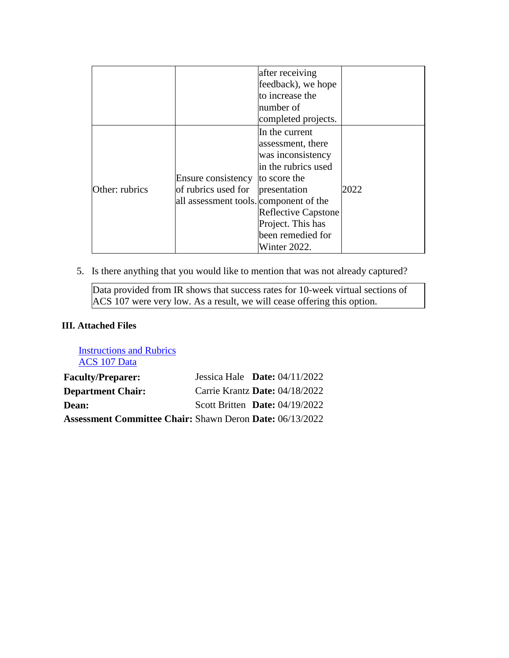|                |                                                                                     | after receiving<br>feedback), we hope<br>to increase the<br>number of<br>completed projects.                                                                                                            |      |
|----------------|-------------------------------------------------------------------------------------|---------------------------------------------------------------------------------------------------------------------------------------------------------------------------------------------------------|------|
| Other: rubrics | Ensure consistency<br>of rubrics used for<br>all assessment tools. component of the | In the current<br>assessment, there<br>was inconsistency<br>in the rubrics used<br>to score the<br>presentation<br><b>Reflective Capstone</b><br>Project. This has<br>been remedied for<br>Winter 2022. | 2022 |

5. Is there anything that you would like to mention that was not already captured?

Data provided from IR shows that success rates for 10-week virtual sections of ACS 107 were very low. As a result, we will cease offering this option.

## **III. Attached Files**

[Instructions and Rubrics](documents/ACS%20107%20College%20Reading%20and%20Study%20Skills%20Final%20Project%202020.docx) [ACS 107 Data](documents/ACS%20107%20Assessment%20Data%20Compilation%20040122%20(1).xlsx)

| <b>Faculty/Preparer:</b>                                        | Jessica Hale Date: $04/11/2022$  |  |
|-----------------------------------------------------------------|----------------------------------|--|
| <b>Department Chair:</b>                                        | Carrie Krantz Date: 04/18/2022   |  |
| Dean:                                                           | Scott Britten Date: $04/19/2022$ |  |
| <b>Assessment Committee Chair: Shawn Deron Date: 06/13/2022</b> |                                  |  |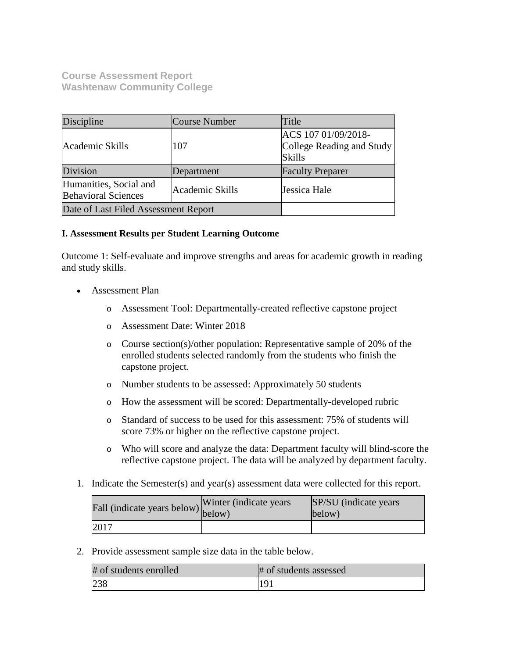**Course Assessment Report Washtenaw Community College**

| Discipline                                           | Course Number   | Title                                                             |
|------------------------------------------------------|-----------------|-------------------------------------------------------------------|
| Academic Skills                                      | 107             | ACS 107 01/09/2018-<br>College Reading and Study<br><b>Skills</b> |
| Division                                             | Department      | <b>Faculty Preparer</b>                                           |
| Humanities, Social and<br><b>Behavioral Sciences</b> | Academic Skills | Jessica Hale                                                      |
| Date of Last Filed Assessment Report                 |                 |                                                                   |

## **I. Assessment Results per Student Learning Outcome**

Outcome 1: Self-evaluate and improve strengths and areas for academic growth in reading and study skills.

- Assessment Plan
	- o Assessment Tool: Departmentally-created reflective capstone project
	- o Assessment Date: Winter 2018
	- o Course section(s)/other population: Representative sample of 20% of the enrolled students selected randomly from the students who finish the capstone project.
	- o Number students to be assessed: Approximately 50 students
	- o How the assessment will be scored: Departmentally-developed rubric
	- o Standard of success to be used for this assessment: 75% of students will score 73% or higher on the reflective capstone project.
	- o Who will score and analyze the data: Department faculty will blind-score the reflective capstone project. The data will be analyzed by department faculty.
- 1. Indicate the Semester(s) and year(s) assessment data were collected for this report.

| rall (indicate years below) below) | Winter (indicate years) | SP/SU (indicate years)<br>below) |
|------------------------------------|-------------------------|----------------------------------|
| 2017                               |                         |                                  |

2. Provide assessment sample size data in the table below.

| # of students enrolled | # of students assessed |
|------------------------|------------------------|
| 238                    | [19]                   |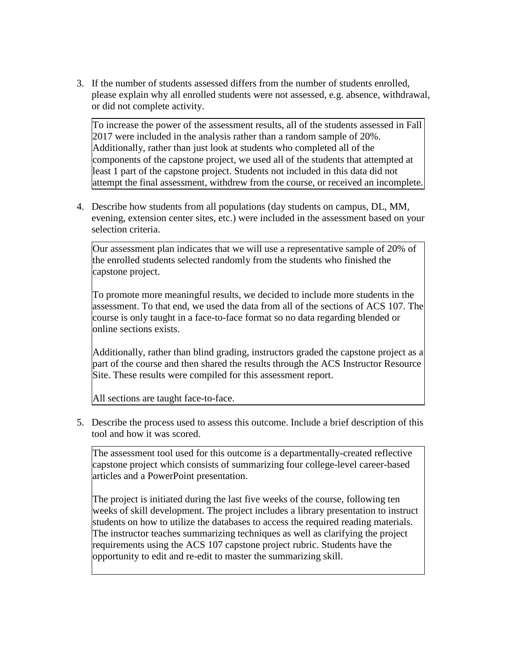3. If the number of students assessed differs from the number of students enrolled, please explain why all enrolled students were not assessed, e.g. absence, withdrawal, or did not complete activity.

To increase the power of the assessment results, all of the students assessed in Fall 2017 were included in the analysis rather than a random sample of 20%. Additionally, rather than just look at students who completed all of the components of the capstone project, we used all of the students that attempted at least 1 part of the capstone project. Students not included in this data did not attempt the final assessment, withdrew from the course, or received an incomplete.

4. Describe how students from all populations (day students on campus, DL, MM, evening, extension center sites, etc.) were included in the assessment based on your selection criteria.

Our assessment plan indicates that we will use a representative sample of 20% of the enrolled students selected randomly from the students who finished the capstone project.

To promote more meaningful results, we decided to include more students in the assessment. To that end, we used the data from all of the sections of ACS 107. The course is only taught in a face-to-face format so no data regarding blended or online sections exists.

Additionally, rather than blind grading, instructors graded the capstone project as a part of the course and then shared the results through the ACS Instructor Resource Site. These results were compiled for this assessment report.

All sections are taught face-to-face.

5. Describe the process used to assess this outcome. Include a brief description of this tool and how it was scored.

The assessment tool used for this outcome is a departmentally-created reflective capstone project which consists of summarizing four college-level career-based articles and a PowerPoint presentation.

The project is initiated during the last five weeks of the course, following ten weeks of skill development. The project includes a library presentation to instruct students on how to utilize the databases to access the required reading materials. The instructor teaches summarizing techniques as well as clarifying the project requirements using the ACS 107 capstone project rubric. Students have the opportunity to edit and re-edit to master the summarizing skill.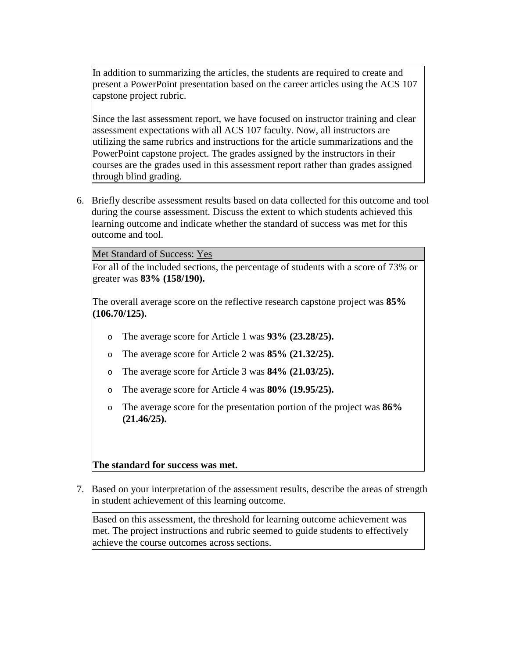In addition to summarizing the articles, the students are required to create and present a PowerPoint presentation based on the career articles using the ACS 107 capstone project rubric.

Since the last assessment report, we have focused on instructor training and clear assessment expectations with all ACS 107 faculty. Now, all instructors are utilizing the same rubrics and instructions for the article summarizations and the PowerPoint capstone project. The grades assigned by the instructors in their courses are the grades used in this assessment report rather than grades assigned through blind grading.

6. Briefly describe assessment results based on data collected for this outcome and tool during the course assessment. Discuss the extent to which students achieved this learning outcome and indicate whether the standard of success was met for this outcome and tool.

Met Standard of Success: Yes

For all of the included sections, the percentage of students with a score of 73% or greater was **83% (158/190).**

The overall average score on the reflective research capstone project was **85% (106.70/125).**

- o The average score for Article 1 was **93% (23.28/25).**
- o The average score for Article 2 was **85% (21.32/25).**
- The average score for Article 3 was **84% (21.03/25).**
- The average score for Article 4 was **80% (19.95/25).**
- o The average score for the presentation portion of the project was **86% (21.46/25).**

## **The standard for success was met.**

7. Based on your interpretation of the assessment results, describe the areas of strength in student achievement of this learning outcome.

Based on this assessment, the threshold for learning outcome achievement was met. The project instructions and rubric seemed to guide students to effectively achieve the course outcomes across sections.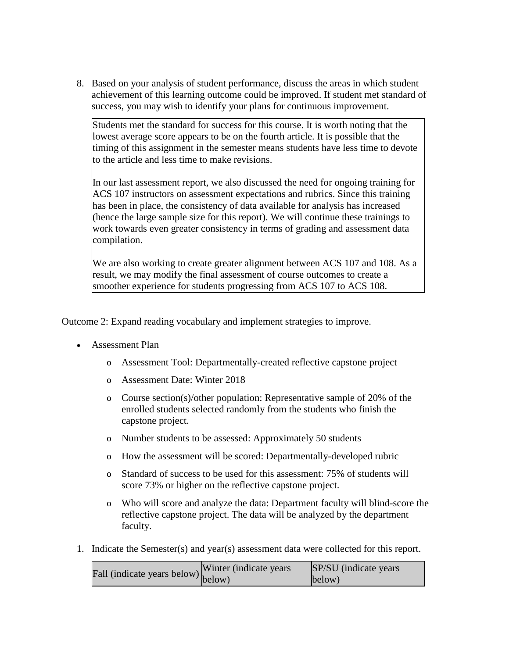8. Based on your analysis of student performance, discuss the areas in which student achievement of this learning outcome could be improved. If student met standard of success, you may wish to identify your plans for continuous improvement.

Students met the standard for success for this course. It is worth noting that the lowest average score appears to be on the fourth article. It is possible that the timing of this assignment in the semester means students have less time to devote to the article and less time to make revisions.

In our last assessment report, we also discussed the need for ongoing training for ACS 107 instructors on assessment expectations and rubrics. Since this training has been in place, the consistency of data available for analysis has increased (hence the large sample size for this report). We will continue these trainings to work towards even greater consistency in terms of grading and assessment data compilation.

We are also working to create greater alignment between ACS 107 and 108. As a result, we may modify the final assessment of course outcomes to create a smoother experience for students progressing from ACS 107 to ACS 108.

Outcome 2: Expand reading vocabulary and implement strategies to improve.

- Assessment Plan
	- o Assessment Tool: Departmentally-created reflective capstone project
	- o Assessment Date: Winter 2018
	- o Course section(s)/other population: Representative sample of 20% of the enrolled students selected randomly from the students who finish the capstone project.
	- o Number students to be assessed: Approximately 50 students
	- o How the assessment will be scored: Departmentally-developed rubric
	- o Standard of success to be used for this assessment: 75% of students will score 73% or higher on the reflective capstone project.
	- o Who will score and analyze the data: Department faculty will blind-score the reflective capstone project. The data will be analyzed by the department faculty.
- 1. Indicate the Semester(s) and year(s) assessment data were collected for this report.

| $\text{undicate years below}$ (indicate years below) $\begin{array}{c}\n\text{Winter (indicate years)} \\ \text{below)}\n\end{array}$ | <b>SP/SU</b> (indicate years) |
|---------------------------------------------------------------------------------------------------------------------------------------|-------------------------------|
|                                                                                                                                       | below)                        |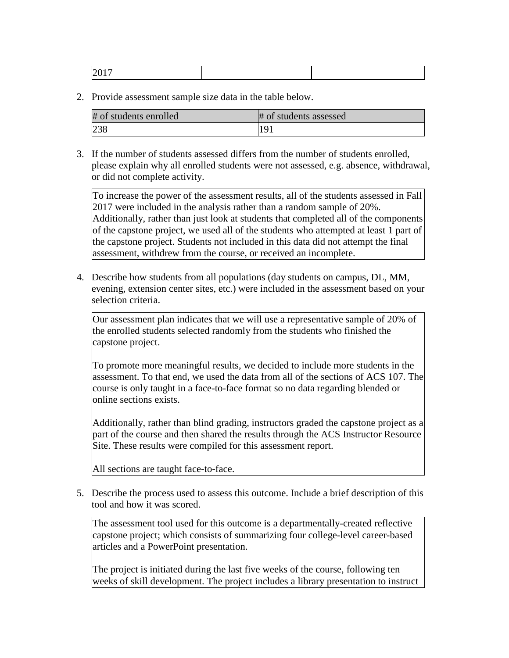2. Provide assessment sample size data in the table below.

| # of students enrolled | # of students assessed |
|------------------------|------------------------|
| 238                    | 191                    |

3. If the number of students assessed differs from the number of students enrolled, please explain why all enrolled students were not assessed, e.g. absence, withdrawal, or did not complete activity.

To increase the power of the assessment results, all of the students assessed in Fall 2017 were included in the analysis rather than a random sample of 20%. Additionally, rather than just look at students that completed all of the components of the capstone project, we used all of the students who attempted at least 1 part of the capstone project. Students not included in this data did not attempt the final assessment, withdrew from the course, or received an incomplete.

4. Describe how students from all populations (day students on campus, DL, MM, evening, extension center sites, etc.) were included in the assessment based on your selection criteria.

Our assessment plan indicates that we will use a representative sample of 20% of the enrolled students selected randomly from the students who finished the capstone project.

To promote more meaningful results, we decided to include more students in the assessment. To that end, we used the data from all of the sections of ACS 107. The course is only taught in a face-to-face format so no data regarding blended or online sections exists.

Additionally, rather than blind grading, instructors graded the capstone project as a part of the course and then shared the results through the ACS Instructor Resource Site. These results were compiled for this assessment report.

All sections are taught face-to-face.

5. Describe the process used to assess this outcome. Include a brief description of this tool and how it was scored.

The assessment tool used for this outcome is a departmentally-created reflective capstone project; which consists of summarizing four college-level career-based articles and a PowerPoint presentation.

The project is initiated during the last five weeks of the course, following ten weeks of skill development. The project includes a library presentation to instruct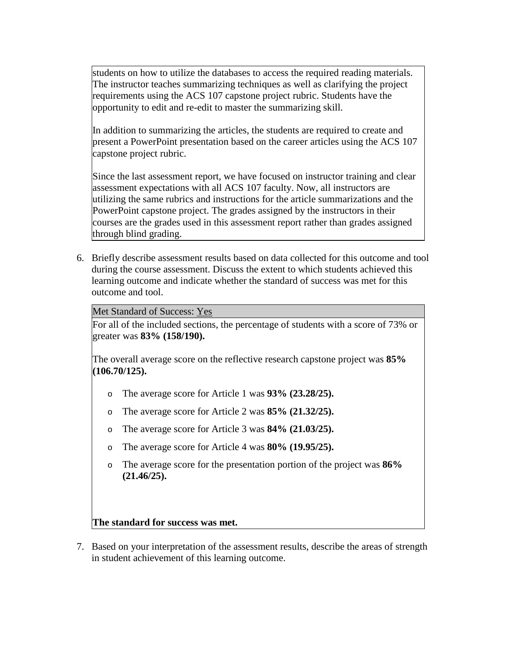students on how to utilize the databases to access the required reading materials. The instructor teaches summarizing techniques as well as clarifying the project requirements using the ACS 107 capstone project rubric. Students have the opportunity to edit and re-edit to master the summarizing skill.

In addition to summarizing the articles, the students are required to create and present a PowerPoint presentation based on the career articles using the ACS 107 capstone project rubric.

Since the last assessment report, we have focused on instructor training and clear assessment expectations with all ACS 107 faculty. Now, all instructors are utilizing the same rubrics and instructions for the article summarizations and the PowerPoint capstone project. The grades assigned by the instructors in their courses are the grades used in this assessment report rather than grades assigned through blind grading.

6. Briefly describe assessment results based on data collected for this outcome and tool during the course assessment. Discuss the extent to which students achieved this learning outcome and indicate whether the standard of success was met for this outcome and tool.

Met Standard of Success: Yes

For all of the included sections, the percentage of students with a score of 73% or greater was **83% (158/190).**

The overall average score on the reflective research capstone project was **85% (106.70/125).**

- o The average score for Article 1 was **93% (23.28/25).**
- o The average score for Article 2 was **85% (21.32/25).**
- o The average score for Article 3 was **84% (21.03/25).**
- o The average score for Article 4 was **80% (19.95/25).**
- o The average score for the presentation portion of the project was **86% (21.46/25).**

## **The standard for success was met.**

7. Based on your interpretation of the assessment results, describe the areas of strength in student achievement of this learning outcome.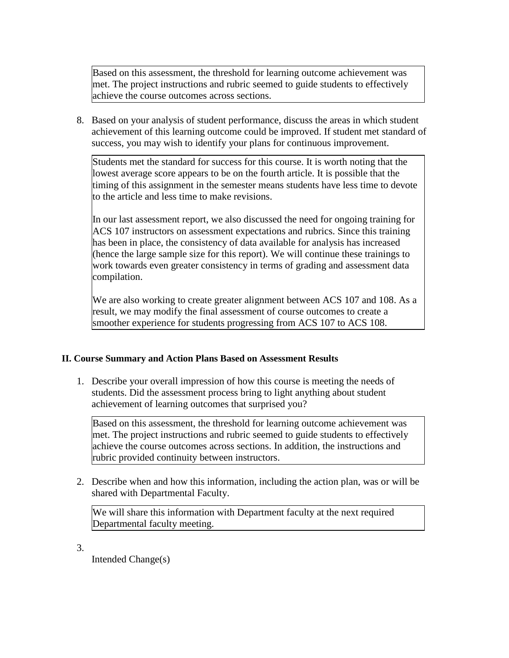Based on this assessment, the threshold for learning outcome achievement was met. The project instructions and rubric seemed to guide students to effectively achieve the course outcomes across sections.

8. Based on your analysis of student performance, discuss the areas in which student achievement of this learning outcome could be improved. If student met standard of success, you may wish to identify your plans for continuous improvement.

Students met the standard for success for this course. It is worth noting that the lowest average score appears to be on the fourth article. It is possible that the timing of this assignment in the semester means students have less time to devote to the article and less time to make revisions.

In our last assessment report, we also discussed the need for ongoing training for ACS 107 instructors on assessment expectations and rubrics. Since this training has been in place, the consistency of data available for analysis has increased (hence the large sample size for this report). We will continue these trainings to work towards even greater consistency in terms of grading and assessment data compilation.

We are also working to create greater alignment between ACS 107 and 108. As a result, we may modify the final assessment of course outcomes to create a smoother experience for students progressing from ACS 107 to ACS 108.

# **II. Course Summary and Action Plans Based on Assessment Results**

1. Describe your overall impression of how this course is meeting the needs of students. Did the assessment process bring to light anything about student achievement of learning outcomes that surprised you?

Based on this assessment, the threshold for learning outcome achievement was met. The project instructions and rubric seemed to guide students to effectively achieve the course outcomes across sections. In addition, the instructions and rubric provided continuity between instructors.

2. Describe when and how this information, including the action plan, was or will be shared with Departmental Faculty.

We will share this information with Department faculty at the next required Departmental faculty meeting.

3.

Intended Change(s)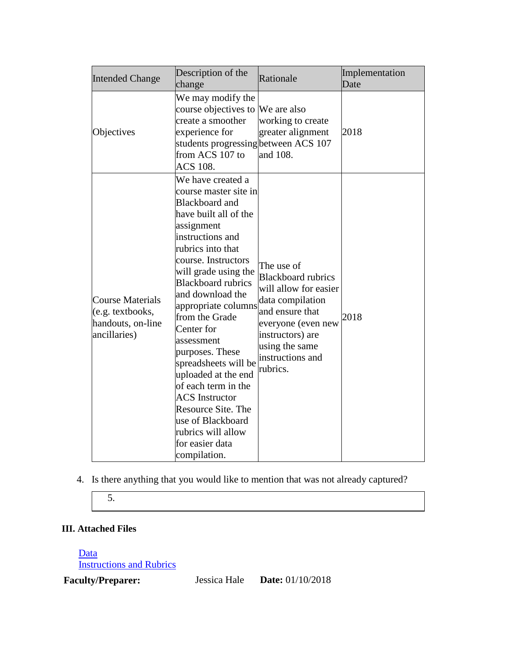| <b>Intended Change</b>                                                           | Description of the<br>change                                                                                                                                                                                                                                                                                                                                                                                                                                                                                                                          | Rationale                                                                                                                                                                                           | Implementation<br>Date |
|----------------------------------------------------------------------------------|-------------------------------------------------------------------------------------------------------------------------------------------------------------------------------------------------------------------------------------------------------------------------------------------------------------------------------------------------------------------------------------------------------------------------------------------------------------------------------------------------------------------------------------------------------|-----------------------------------------------------------------------------------------------------------------------------------------------------------------------------------------------------|------------------------|
| Objectives                                                                       | We may modify the<br>course objectives to<br>create a smoother<br>experience for<br>students progressing between ACS 107<br>from ACS 107 to<br><b>ACS 108.</b>                                                                                                                                                                                                                                                                                                                                                                                        | We are also<br>working to create<br>greater alignment<br>and 108.                                                                                                                                   | 2018                   |
| <b>Course Materials</b><br>(e.g. textbooks,<br>handouts, on-line<br>ancillaries) | We have created a<br>course master site in<br><b>Blackboard</b> and<br>have built all of the<br>assignment<br>instructions and<br>rubrics into that<br>course. Instructors<br>will grade using the<br><b>Blackboard</b> rubrics<br>and download the<br>appropriate columns<br>from the Grade<br>Center for<br>assessment<br>purposes. These<br>spreadsheets will be<br>uploaded at the end<br>of each term in the<br><b>ACS</b> Instructor<br><b>Resource Site. The</b><br>use of Blackboard<br>rubrics will allow<br>for easier data<br>compilation. | The use of<br><b>Blackboard rubrics</b><br>will allow for easier<br>data compilation<br>and ensure that<br>everyone (even new<br>instructors) are<br>using the same<br>instructions and<br>rubrics. | 2018                   |

4. Is there anything that you would like to mention that was not already captured?

5.

# **III. Attached Files**

Data

**Instructions and Rubrics** 

**Faculty/Preparer:** Jessica Hale **Date:** 01/10/2018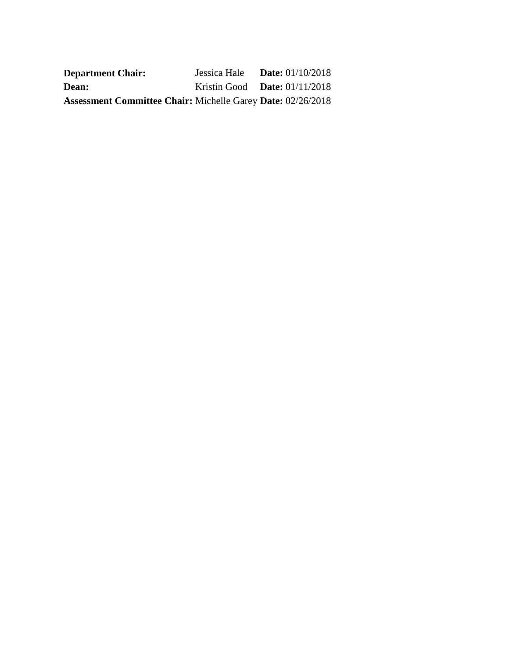| <b>Department Chair:</b>                                           | Jessica Hale <b>Date:</b> $01/10/2018$ |  |
|--------------------------------------------------------------------|----------------------------------------|--|
| <b>Dean:</b>                                                       | Kristin Good <b>Date:</b> $01/11/2018$ |  |
| <b>Assessment Committee Chair: Michelle Garey Date: 02/26/2018</b> |                                        |  |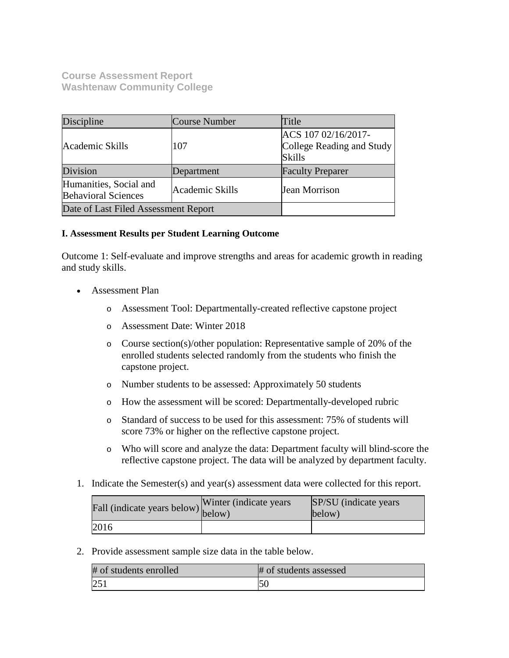**Course Assessment Report Washtenaw Community College**

| Discipline                                           | Course Number   | Title                                                             |
|------------------------------------------------------|-----------------|-------------------------------------------------------------------|
| Academic Skills                                      | 107             | ACS 107 02/16/2017-<br>College Reading and Study<br><b>Skills</b> |
| Division                                             | Department      | <b>Faculty Preparer</b>                                           |
| Humanities, Social and<br><b>Behavioral Sciences</b> | Academic Skills | Jean Morrison                                                     |
| Date of Last Filed Assessment Report                 |                 |                                                                   |

## **I. Assessment Results per Student Learning Outcome**

Outcome 1: Self-evaluate and improve strengths and areas for academic growth in reading and study skills.

- Assessment Plan
	- o Assessment Tool: Departmentally-created reflective capstone project
	- o Assessment Date: Winter 2018
	- o Course section(s)/other population: Representative sample of 20% of the enrolled students selected randomly from the students who finish the capstone project.
	- o Number students to be assessed: Approximately 50 students
	- o How the assessment will be scored: Departmentally-developed rubric
	- o Standard of success to be used for this assessment: 75% of students will score 73% or higher on the reflective capstone project.
	- o Who will score and analyze the data: Department faculty will blind-score the reflective capstone project. The data will be analyzed by department faculty.
- 1. Indicate the Semester(s) and year(s) assessment data were collected for this report.

| Fall (indicate years below) below) | Winter (indicate years) | SP/SU (indicate years)<br>below) |
|------------------------------------|-------------------------|----------------------------------|
| 2016                               |                         |                                  |

2. Provide assessment sample size data in the table below.

| # of students enrolled | # of students assessed |
|------------------------|------------------------|
| 251                    |                        |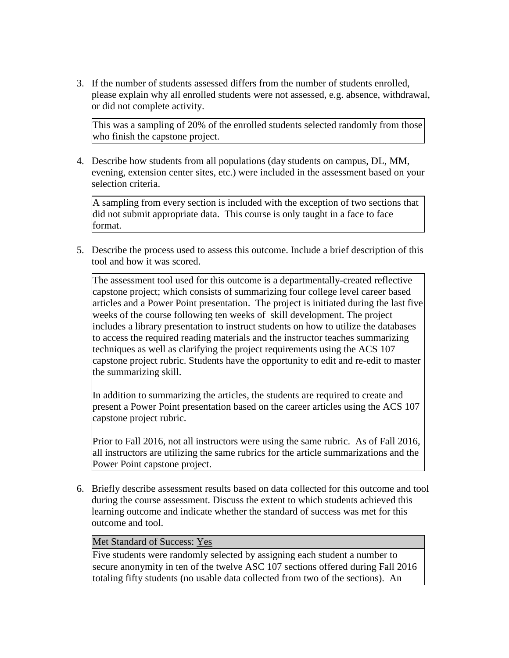3. If the number of students assessed differs from the number of students enrolled, please explain why all enrolled students were not assessed, e.g. absence, withdrawal, or did not complete activity.

This was a sampling of 20% of the enrolled students selected randomly from those who finish the capstone project.

4. Describe how students from all populations (day students on campus, DL, MM, evening, extension center sites, etc.) were included in the assessment based on your selection criteria.

A sampling from every section is included with the exception of two sections that did not submit appropriate data. This course is only taught in a face to face format.

5. Describe the process used to assess this outcome. Include a brief description of this tool and how it was scored.

The assessment tool used for this outcome is a departmentally-created reflective capstone project; which consists of summarizing four college level career based articles and a Power Point presentation. The project is initiated during the last five weeks of the course following ten weeks of skill development. The project includes a library presentation to instruct students on how to utilize the databases to access the required reading materials and the instructor teaches summarizing techniques as well as clarifying the project requirements using the ACS 107 capstone project rubric. Students have the opportunity to edit and re-edit to master the summarizing skill.

In addition to summarizing the articles, the students are required to create and present a Power Point presentation based on the career articles using the ACS 107 capstone project rubric.

Prior to Fall 2016, not all instructors were using the same rubric. As of Fall 2016, all instructors are utilizing the same rubrics for the article summarizations and the Power Point capstone project.

6. Briefly describe assessment results based on data collected for this outcome and tool during the course assessment. Discuss the extent to which students achieved this learning outcome and indicate whether the standard of success was met for this outcome and tool.

## Met Standard of Success: Yes

Five students were randomly selected by assigning each student a number to secure anonymity in ten of the twelve ASC 107 sections offered during Fall 2016 totaling fifty students (no usable data collected from two of the sections). An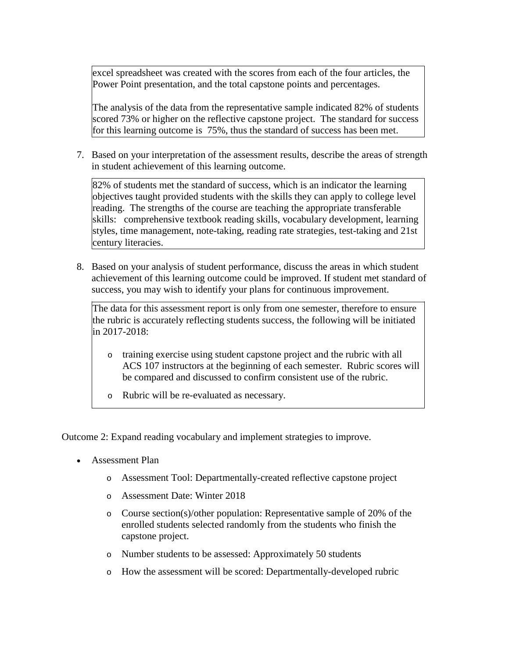excel spreadsheet was created with the scores from each of the four articles, the Power Point presentation, and the total capstone points and percentages.

The analysis of the data from the representative sample indicated 82% of students scored 73% or higher on the reflective capstone project. The standard for success for this learning outcome is 75%, thus the standard of success has been met.

7. Based on your interpretation of the assessment results, describe the areas of strength in student achievement of this learning outcome.

82% of students met the standard of success, which is an indicator the learning objectives taught provided students with the skills they can apply to college level reading. The strengths of the course are teaching the appropriate transferable skills: comprehensive textbook reading skills, vocabulary development, learning styles, time management, note-taking, reading rate strategies, test-taking and 21st century literacies.

8. Based on your analysis of student performance, discuss the areas in which student achievement of this learning outcome could be improved. If student met standard of success, you may wish to identify your plans for continuous improvement.

The data for this assessment report is only from one semester, therefore to ensure the rubric is accurately reflecting students success, the following will be initiated in 2017-2018:

- o training exercise using student capstone project and the rubric with all ACS 107 instructors at the beginning of each semester. Rubric scores will be compared and discussed to confirm consistent use of the rubric.
- o Rubric will be re-evaluated as necessary.

Outcome 2: Expand reading vocabulary and implement strategies to improve.

- Assessment Plan
	- o Assessment Tool: Departmentally-created reflective capstone project
	- o Assessment Date: Winter 2018
	- o Course section(s)/other population: Representative sample of 20% of the enrolled students selected randomly from the students who finish the capstone project.
	- o Number students to be assessed: Approximately 50 students
	- o How the assessment will be scored: Departmentally-developed rubric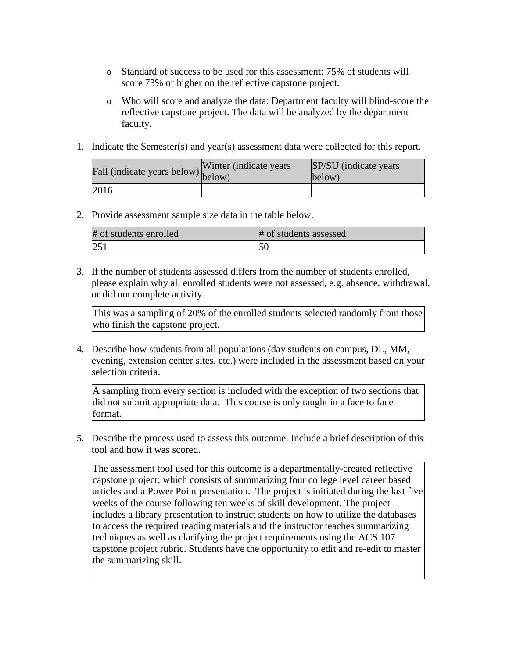- o Standard of success to be used for this assessment: 75% of students will score 73% or higher on the reflective capstone project.
- o Who will score and analyze the data: Department faculty will blind-score the reflective capstone project. The data will be analyzed by the department faculty.
- 1. Indicate the Semester(s) and year(s) assessment data were collected for this report.

| Fall (indicate years below) below) | Winter (indicate years) | SP/SU (indicate years)<br>below) |
|------------------------------------|-------------------------|----------------------------------|
| 2016                               |                         |                                  |

2. Provide assessment sample size data in the table below.

| # of students enrolled | # of students assessed |
|------------------------|------------------------|
|                        |                        |

3. If the number of students assessed differs from the number of students enrolled, please explain why all enrolled students were not assessed, e.g. absence, withdrawal, or did not complete activity.

This was a sampling of 20% of the enrolled students selected randomly from those who finish the capstone project.

4. Describe how students from all populations (day students on campus, DL, MM, evening, extension center sites, etc.) were included in the assessment based on your selection criteria.

A sampling from every section is included with the exception of two sections that did not submit appropriate data. This course is only taught in a face to face format.

5. Describe the process used to assess this outcome. Include a brief description of this tool and how it was scored.

The assessment tool used for this outcome is a departmentally-created reflective capstone project; which consists of summarizing four college level career based articles and a Power Point presentation. The project is initiated during the last five weeks of the course following ten weeks of skill development. The project includes a library presentation to instruct students on how to utilize the databases to access the required reading materials and the instructor teaches summarizing techniques as well as clarifying the project requirements using the ACS 107 capstone project rubric. Students have the opportunity to edit and re-edit to master the summarizing skill.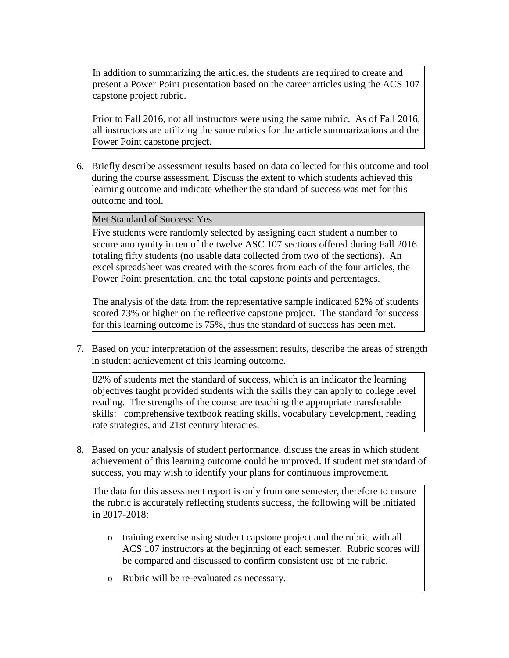In addition to summarizing the articles, the students are required to create and present a Power Point presentation based on the career articles using the ACS 107 capstone project rubric.

Prior to Fall 2016, not all instructors were using the same rubric. As of Fall 2016, all instructors are utilizing the same rubrics for the article summarizations and the Power Point capstone project.

6. Briefly describe assessment results based on data collected for this outcome and tool during the course assessment. Discuss the extent to which students achieved this learning outcome and indicate whether the standard of success was met for this outcome and tool.

Met Standard of Success: Yes

Five students were randomly selected by assigning each student a number to secure anonymity in ten of the twelve ASC 107 sections offered during Fall 2016 totaling fifty students (no usable data collected from two of the sections). An excel spreadsheet was created with the scores from each of the four articles, the Power Point presentation, and the total capstone points and percentages.

The analysis of the data from the representative sample indicated 82% of students scored 73% or higher on the reflective capstone project. The standard for success for this learning outcome is 75%, thus the standard of success has been met.

7. Based on your interpretation of the assessment results, describe the areas of strength in student achievement of this learning outcome.

82% of students met the standard of success, which is an indicator the learning objectives taught provided students with the skills they can apply to college level reading. The strengths of the course are teaching the appropriate transferable skills: comprehensive textbook reading skills, vocabulary development, reading rate strategies, and 21st century literacies.

8. Based on your analysis of student performance, discuss the areas in which student achievement of this learning outcome could be improved. If student met standard of success, you may wish to identify your plans for continuous improvement.

The data for this assessment report is only from one semester, therefore to ensure the rubric is accurately reflecting students success, the following will be initiated in 2017-2018:

- o training exercise using student capstone project and the rubric with all ACS 107 instructors at the beginning of each semester. Rubric scores will be compared and discussed to confirm consistent use of the rubric.
- o Rubric will be re-evaluated as necessary.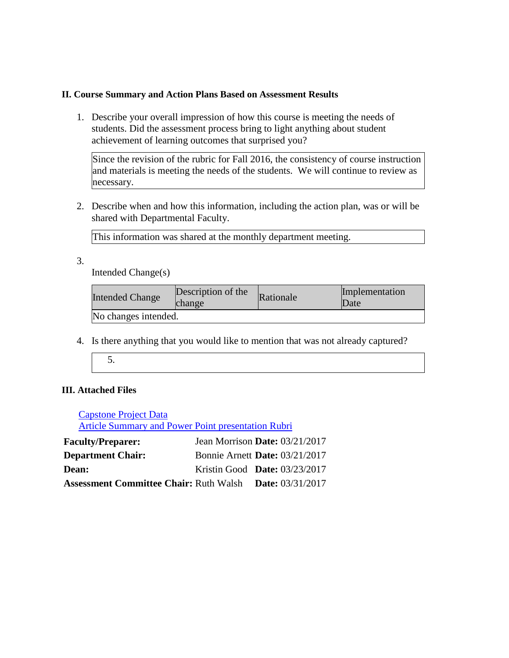### **II. Course Summary and Action Plans Based on Assessment Results**

1. Describe your overall impression of how this course is meeting the needs of students. Did the assessment process bring to light anything about student achievement of learning outcomes that surprised you?

Since the revision of the rubric for Fall 2016, the consistency of course instruction and materials is meeting the needs of the students. We will continue to review as necessary.

2. Describe when and how this information, including the action plan, was or will be shared with Departmental Faculty.

This information was shared at the monthly department meeting.

3.

Intended Change(s)

| <b>Intended Change</b> | Description of the<br>change | Rationale | Implementation<br>Date |
|------------------------|------------------------------|-----------|------------------------|
| No changes intended.   |                              |           |                        |

- 4. Is there anything that you would like to mention that was not already captured?
	- 5.

## **III. Attached Files**

Capstone Project Data Article Summary and Power Point presentation Rubri

| <b>Faculty/Preparer:</b>                      | Jean Morrison Date: $03/21/2017$      |                           |
|-----------------------------------------------|---------------------------------------|---------------------------|
| <b>Department Chair:</b>                      | <b>Bonnie Arnett Date: 03/21/2017</b> |                           |
| <b>Dean:</b>                                  | Kristin Good Date: $03/23/2017$       |                           |
| <b>Assessment Committee Chair: Ruth Walsh</b> |                                       | <b>Date:</b> $03/31/2017$ |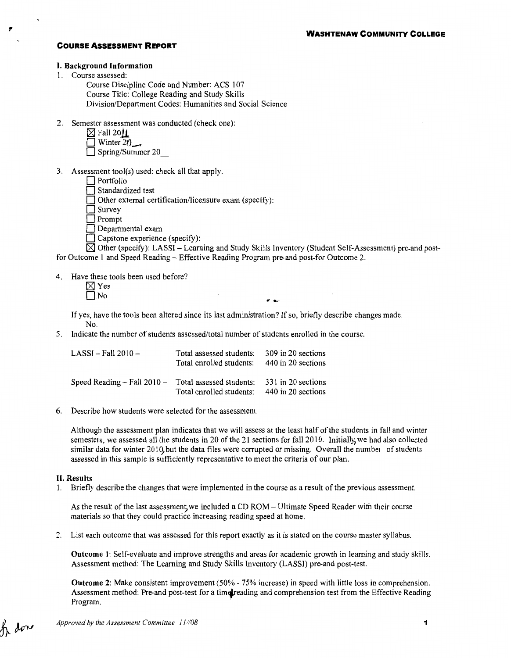#### I. Background Information

1. Course assessed:

Course Discipline Code and Number: ACS 107 Course Title: College Reading and Study Skills Division/Department Codes: Humanities and Social Science

2. Semester assessment was conducted (check one):

| $\boxtimes$ Fall 20 $\mathsf{L}$ |
|----------------------------------|
| Winter 2()                       |

 $\Box$  Spring/Summer 20

3. Assessment tool(s) used: check all that apply.

|  | $\Box$ Portfolio |  |
|--|------------------|--|
|  |                  |  |

 $\Box$  Standardized test

 $\Box$  Other external certification/licensure exam (specify):

 $\Box$  Survey

□ Prompt

Departmental exam

Capstone experience (specify):

 $\boxtimes$  Other (specify): LASSI - Learning and Study Skills Inventory (Student Self-Assessment) pre-and postfor Outcome 1 and Speed Reading- Effective Reading Program pre-and post-for Outcome 2.

4. Have these tools been used before?

If yes, have the tools been altered since its last administration? If so, briefly describe changes made. No.

5. Indicate the number of students assessed/total number of students enrolled in the course.

| $LASSI - Fall 2010 -$           | Total assessed students:<br>Total enrolled students: | 309 in 20 sections<br>440 in 20 sections |
|---------------------------------|------------------------------------------------------|------------------------------------------|
| Speed Reading $-$ Fall 2010 $-$ | Total assessed students:<br>Total enrolled students: | 331 in 20 sections<br>440 in 20 sections |

6. Describe how students were selected for the assessment.

Although the assessment plan indicates that we will assess at the least half of the students in fall and winter semesters, we assessed all the students in 20 of the 21 sections for fall 2010. Initially, we had also collected similar data for winter 2010, but the data files were corrupted or missing. Overall the number of students assessed in this sample is sufficiently representative to meet the criteria of our plan.

#### II. Results

1. Briefly describe the changes that were implemented in the course as a result of the previous assessment.

As the result of the last assessment, we included a CD ROM - Ultimate Speed Reader with their course materials so that they could practice increasing reading speed at home.

2. List each outcome that was assessed for this report exactly as it is stated on the course master syllabus.

Outcome 1: Self-evaluate and improve strengths and areas for academic growth in learning and study skills. Assessment method: The Learning and Study Skills Inventory (LASSI) pre-and post-test.

Outcome 2: Make consistent improvement (50%- 75% increase) in speed with little loss in comprehension. Assessment method: Pre-and post-test for a time reading and comprehension test from the Effective Reading Program.

h dor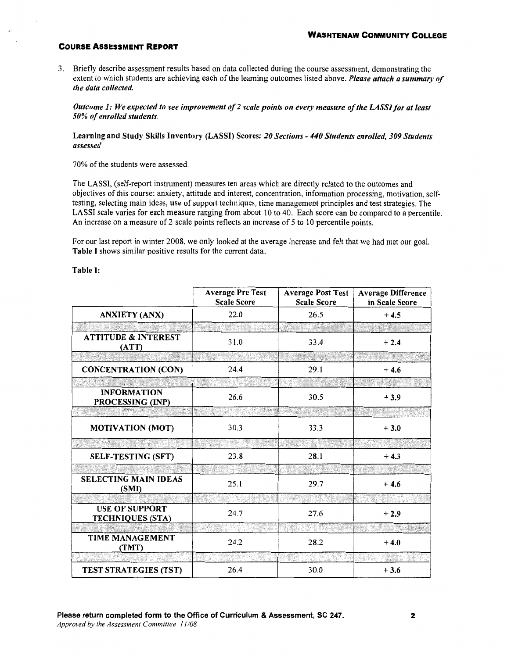3. Briefly describe assessment results based on data collected during the course assessment, demonstrating the extent to which students are achieving each of the learning outcomes listed above. *Please attach a summary of the data collected.* 

*Outcome 1: We expected to see improvement of2 scale points on every measure of the LASS/for at least 50% of enrolled students.* 

Learning and Study Skills Inventory (LASSI) Scores: *20 Sections* - *440 Students enrolled, 309 Students assessed* 

70% of the students were assessed.

The LASSI, (self-report instrument) measures ten areas which are directly related to the outcomes and objectives of this course: anxiety, attitude and interest, concentration, information processing, motivation, selftesting, selecting main ideas, use of support techniques, time management principles and test strategies. The LASSI scale varies for each measure ranging from about 10 to 40. Each score can be compared to a percentile. An increase on a measure of 2 scale points reflects an increase of 5 to 10 percentile points.

For our last report in winter 2008, we only looked at the average increase and felt that we had met our goal. Table I shows similar positive results for the current data.

Table I:

|                                                  | <b>Average Pre Test</b><br><b>Scale Score</b> | <b>Average Post Test</b><br><b>Scale Score</b> | <b>Average Difference</b><br>in Scale Score |
|--------------------------------------------------|-----------------------------------------------|------------------------------------------------|---------------------------------------------|
| <b>ANXIETY (ANX)</b>                             | 22.0                                          | 26.5                                           | $+4.5$                                      |
|                                                  |                                               |                                                |                                             |
| <b>ATTITUDE &amp; INTEREST</b><br>(ATT)          | 31.0                                          | 33.4                                           | $+2.4$                                      |
|                                                  |                                               |                                                |                                             |
| <b>CONCENTRATION (CON)</b>                       | 24.4                                          | 29.1                                           | $+4.6$                                      |
|                                                  |                                               |                                                |                                             |
| <b>INFORMATION</b><br>PROCESSING (INP)           | 26.6                                          | 30.5                                           | $+3.9$                                      |
|                                                  |                                               |                                                |                                             |
| <b>MOTIVATION (MOT)</b>                          | 30.3                                          | 33.3                                           | $+3.0$                                      |
|                                                  |                                               |                                                |                                             |
| <b>SELF-TESTING (SFT)</b>                        | 23.8                                          | 28.1                                           | $+4.3$                                      |
|                                                  |                                               |                                                |                                             |
| <b>SELECTING MAIN IDEAS</b><br>(SMI)             | 25.1                                          | 29.7                                           | $+4.6$                                      |
|                                                  |                                               |                                                |                                             |
| <b>USE OF SUPPORT</b><br><b>TECHNIQUES (STA)</b> | 24.7                                          | 27.6                                           | $+2.9$                                      |
|                                                  | IV.                                           |                                                |                                             |
| TIME MANAGEMENT<br>(TMT)                         | 24.2                                          | 28.2                                           | $+4.0$                                      |
|                                                  |                                               |                                                |                                             |
| TEST STRATEGIES (TST)                            | 26.4                                          | 30.0                                           | $+3.6$                                      |

*Approved by the Assessment Committee 11108*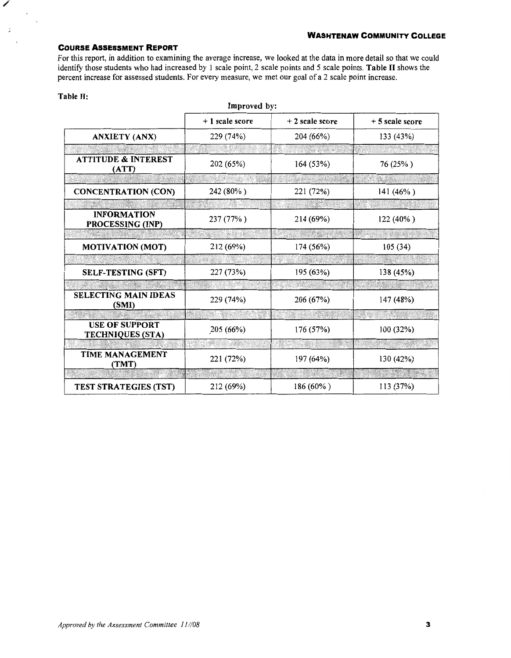For this report, in addition to examining the average increase, we looked at the data in more detail so that we could identify those students who had increased by 1 scale point, 2 scale points and 5 scale points. Table II shows the percent increase for assessed students. For every measure, we met our goal of a 2 scale point increase.

| <b>STATISTICS</b> |  |  |
|-------------------|--|--|

/

 $\ddot{\cdot}$ 

| Improved by:                                     |                |                  |                 |  |
|--------------------------------------------------|----------------|------------------|-----------------|--|
|                                                  | +1 scale score | $+2$ scale score | + 5 scale score |  |
| <b>ANXIETY (ANX)</b>                             | 229 (74%)      | 204 (66%)        | 133 (43%)       |  |
|                                                  |                |                  |                 |  |
| <b>ATTITUDE &amp; INTEREST</b><br>(ATT)          | 202 (65%)      | 164 (53%)        | 76 (25%)        |  |
|                                                  |                |                  |                 |  |
| <b>CONCENTRATION (CON)</b>                       | 242 (80%)      | 221 (72%)        | 141 $(46\%)$    |  |
|                                                  |                |                  |                 |  |
| <b>INFORMATION</b><br>PROCESSING (INP)           | 237 (77%)      | 214 (69%)        | 122 (40%)       |  |
|                                                  |                |                  |                 |  |
| <b>MOTIVATION (MOT)</b>                          | 212 (69%)      | 174 (56%)        | 105(34)         |  |
|                                                  |                |                  |                 |  |
| <b>SELF-TESTING (SFT)</b>                        | 227 (73%)      | 195 (63%)        | 138 (45%)       |  |
|                                                  |                |                  |                 |  |
| <b>SELECTING MAIN IDEAS</b><br>(SMI)             | 229 (74%)      | 206 (67%)        | 147 (48%)       |  |
|                                                  |                |                  |                 |  |
| <b>USE OF SUPPORT</b><br><b>TECHNIQUES (STA)</b> | 205 (66%)      | 176 (57%)        | 100 (32%)       |  |
|                                                  |                |                  |                 |  |
| <b>TIME MANAGEMENT</b><br>(TMT)                  | 221 (72%)      | 197 (64%)        | 130 (42%)       |  |
|                                                  |                |                  |                 |  |
| <b>TEST STRATEGIES (TST)</b>                     | 212 (69%)      | 186 (60%)        | 113 (37%)       |  |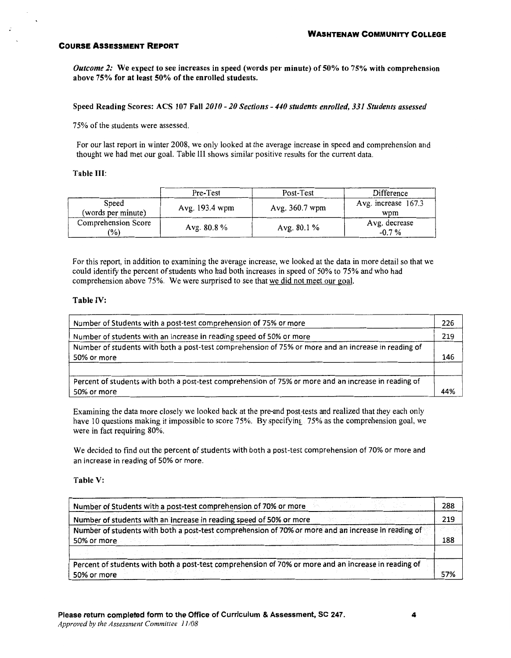*Outcome 2:* We expect to see increases in speed (words per minute) of 50% to 75% with comprehension above 75% for at least 50% of the enrolled students.

Speed Reading Scores: ACS 107 Fall *2010- 20 Sections- 440 students enrolled, 331 Students assessed* 

75% of the students were assessed.

For our last report in winter 2008, we only looked at the average increase in speed and comprehension and thought we had met our goal. Table Ill shows similar positive results for the current data.

#### Table III:

|                                      | Pre-Test       | Post-Test      | Difference                 |
|--------------------------------------|----------------|----------------|----------------------------|
| Speed<br>(words per minute)          | Avg. 193.4 wpm | Avg. 360.7 wpm | Avg. increase 167.3<br>wpm |
| Comprehension Score<br>$\frac{1}{2}$ | Avg. $80.8\%$  | Avg. $80.1\%$  | Avg. decrease<br>$-0.7\%$  |

For this report, in addition to examining the average increase, we looked at the data in more detail so that we could identify the percent of students who had both increases in speed of 50% to 75% and who had comprehension above 75%. We were surprised to see that we did not meet our goal.

#### Table IV:

| Number of Students with a post-test comprehension of 75% or more                                     | 226 |
|------------------------------------------------------------------------------------------------------|-----|
| Number of students with an increase in reading speed of 50% or more                                  | 219 |
| Number of students with both a post-test comprehension of 75% or more and an increase in reading of  |     |
| 50% or more                                                                                          | 146 |
|                                                                                                      |     |
| Percent of students with both a post-test comprehension of 75% or more and an increase in reading of |     |
| 50% or more                                                                                          | 44% |

Examining the data more closely we looked back at the pre-and post-tests and realized that they each only have 10 questions making it impossible to score 75%. By specifying 75% as the comprehension goal, we were in fact requiring 80%.

We decided to find out the percent of students with both a post-test comprehension of 70% or more and an increase in reading of 50% or more.

#### Table V:

| Number of Students with a post-test comprehension of 70% or more                                     | 288 |
|------------------------------------------------------------------------------------------------------|-----|
| Number of students with an increase in reading speed of 50% or more                                  | 219 |
| Number of students with both a post-test comprehension of 70% or more and an increase in reading of  |     |
| 50% or more                                                                                          | 188 |
|                                                                                                      |     |
| Percent of students with both a post-test comprehension of 70% or more and an increase in reading of |     |
| 50% or more                                                                                          | 57% |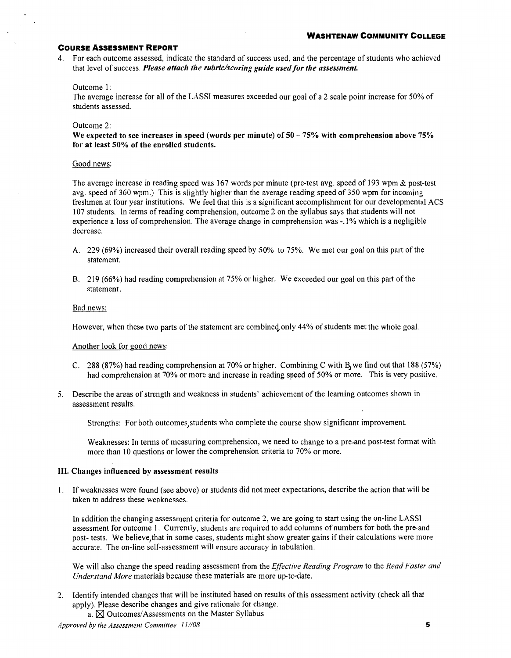4. For each outcome assessed, indicate the standard of success used, and the percentage of students who achieved that level of success. *Please attach the rubric/scoring guide used for the assessment.* 

#### Outcome 1:

The average increase for all of the LASSI measures exceeded our goal of a 2 scale point increase for 50% of students assessed.

#### Outcome 2:

We expected to see increases in speed (words per minute) of  $50 - 75\%$  with comprehension above 75% for at least 50% of the enrolled students.

#### Good news:

The average increase in reading speed was 167 words per minute (pre-test avg. speed of 193 wpm & post-test avg. speed of 360 wpm.) This is slightly higher than the average reading speed of 350 wpm for incoming freshmen at four year institutions. We feel that this is a significant accomplishment for our developmental ACS 107 students. In terms of reading comprehension, outcome 2 on the syllabus says that students will not experience a loss of comprehension. The average change in comprehension was -.1% which is a negligible decrease.

- A. 229 (69%) increased their overall reading speed by 50% to 75%. We met our goal on this part of the statement.
- B. 219 (66%) had reading comprehension at 75% or higher. We exceeded our goal on this part of the statement.

#### Bad news:

However, when these two parts of the statement are combined only 44% of students met the whole goal.

Another look for good news:

- C. 288 (87%) had reading comprehension at 70% or higher. Combining C with B, we find out that 188 (57%) had comprehension at 70% or more and increase in reading speed of 50% or more. This is very positive.
- 5. Describe the areas of strength and weakness in students' achievement of the learning outcomes shown in assessment results.

Strengths: For both outcomes students who complete the course show significant improvement.

Weaknesses: In terms of measuring comprehension, we need to change to a pre-and post-test format with more than 10 questions or lower the comprehension criteria to 70% or more.

#### III. Changes influenced by assessment results

1. If weaknesses were found (see above) or students did not meet expectations, describe the action that will be taken to address these weaknesses.

In addition the changing assessment criteria for outcome 2, we are going to start using the on-line LASSI assessment for outcome 1. Currently, students are required to add columns of numbers for both the pre-and post- tests. We believe, that in some cases, students might show greater gains if their calculations were more accurate. The on-line self-assessment will ensure accuracy in tabulation.

We will also change the speed reading assessment from the *Effective Reading Program* to the *Read Faster and Understand More* materials because these materials are more up-to-date.

- 2. Identify intended changes that will be instituted based on results of this assessment activity (check all that apply). Please describe changes and give rationale for change.
	- a.  $\boxtimes$  Outcomes/Assessments on the Master Syllabus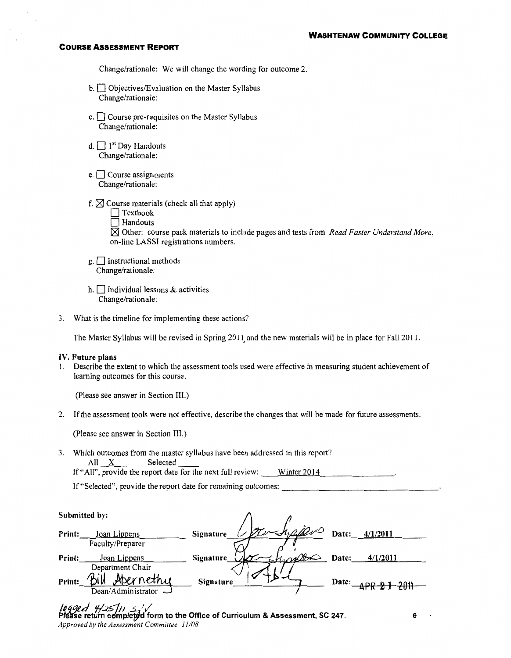Change/rationale: We will change the wording for outcome 2.

- b.  $\Box$  Objectives/Evaluation on the Master Syllabus Change/rationale:
- c.  $\Box$  Course pre-requisites on the Master Syllabus Change/rationale:
- d.  $\Box$  1<sup>st</sup> Day Handouts Change/rationale:
- e.  $\Box$  Course assignments Change/rationale:
- f.  $\boxtimes$  Course materials (check all that apply)
	- $\Box$  Textbook
	- $\Box$  Handouts

I:8J Other: course pack materials to include pages and tests from *Read Faster Understand More,*  on-line LASSI registrations numbers.

- $g.$  Instructional methods Change/rationale:
- h.  $\Box$  Individual lessons & activities Change/rationale:
- 3. What is the timeline for implementing these actions?

The Master Syllabus will be revised in Spring 2011, and the new materials will be in place for Fall 20 II.

#### IV. Future plans

1. Describe the extent to which the assessment tools used were effective in measuring student achievement of learning outcomes for this course.

(Please see answer in Section III.)

2. If the assessment tools were not effective, describe the changes that will be made for future assessments.

(Please see answer in Section III.)

3. Which outcomes from the master syllabus have been addressed in this report? All X Selected If "All", provide the report date for the next full review:  $\frac{1}{2014}$ 

If "Selected", provide the report date for remaining outcomes:

|        | Submitted by:                          |                                            |
|--------|----------------------------------------|--------------------------------------------|
| Print: | Joan Lippens<br>Faculty/Preparer       | ra happy<br>Date:<br>4/1/2011<br>Signature |
| Print: | Joan Lippens<br>Department Chair       | 4/1/2011<br>Date:<br><b>Signature</b>      |
| Print: | Abernethy<br>Dean/Administrator $\Box$ | <b>Signature</b><br>Date:<br>$ADD$ $D$ $I$ |
|        |                                        |                                            |

jeg*ged 'ff<sup>25</sup>jii 5/{*<br>Please return completed form to the Office of Curriculum & Assessment, SC 247. 666 *Approved by the Assessment Committee 11108*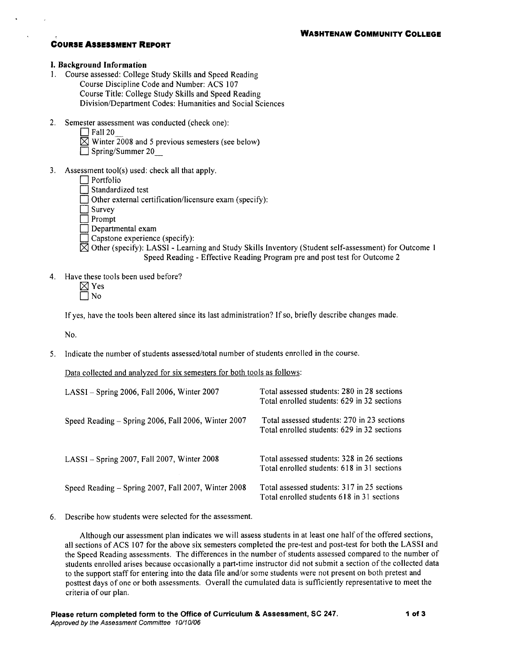#### I. Background Information

- 1. Course assessed: College Study Skills and Speed Reading Course Discipline Code and Number: ACS 107 Course Title: College Study Skills and Speed Reading Division/Department Codes: Humanities and Social Sciences
- 2. Semester assessment was conducted (check one):
	- $\Box$  Fall 20
	- $\overline{\boxtimes}$  Winter 2008 and 5 previous semesters (see below)
	- $\Box$  Spring/Summer 20
- 3. Assessment tool(s) used: check all that apply.
	- $\Box$  Portfolio
	- I Standardized test
	- Other external certification/licensure exam (specify):
	- $\Box$  Survey
	- $\Box$  Prompt
	- $\Box$  Departmental exam
	- $\Box$  Capstone experience (specify):
	- $\boxtimes$  Other (specify): LASSI Learning and Study Skills Inventory (Student self-assessment) for Outcome 1 Speed Reading - Effective Reading Program pre and post test for Outcome 2
- 4. Have these tools been used before?
	- $\boxtimes$  Yes
	- 7 No

If yes, have the tools been altered since its last administration? If so, briefly describe changes made.

No.

5. Indicate the number of students assessed/total number of students enrolled in the course.

Data collected and analyzed for six semesters for both tools as follows:

| $LASSI - Spring 2006$ , Fall 2006, Winter 2007      | Total assessed students: 280 in 28 sections<br>Total enrolled students: 629 in 32 sections |
|-----------------------------------------------------|--------------------------------------------------------------------------------------------|
| Speed Reading - Spring 2006, Fall 2006, Winter 2007 | Total assessed students: 270 in 23 sections<br>Total enrolled students: 629 in 32 sections |
| LASSI - Spring 2007, Fall 2007, Winter 2008         | Total assessed students: 328 in 26 sections<br>Total enrolled students: 618 in 31 sections |
| Speed Reading – Spring 2007, Fall 2007, Winter 2008 | Total assessed students: 317 in 25 sections<br>Total enrolled students 618 in 31 sections  |

6. Describe how students were selected for the assessment.

Although our assessment plan indicates we will assess students in at least one half of the offered sections, all sections of ACS 107 for the above six semesters completed the pre-test and post-test for both the LASSI and the Speed Reading assessments. The differences in the number of students assessed compared to the number of students enrolled arises because occasionally a part-time instructor did not submit a section of the collected data to the support staff for entering into the data file and/or some students were not present on both pretest and posttest days of one or both assessments. Overall the cumulated data is sufficiently representative to meet the criteria of our plan.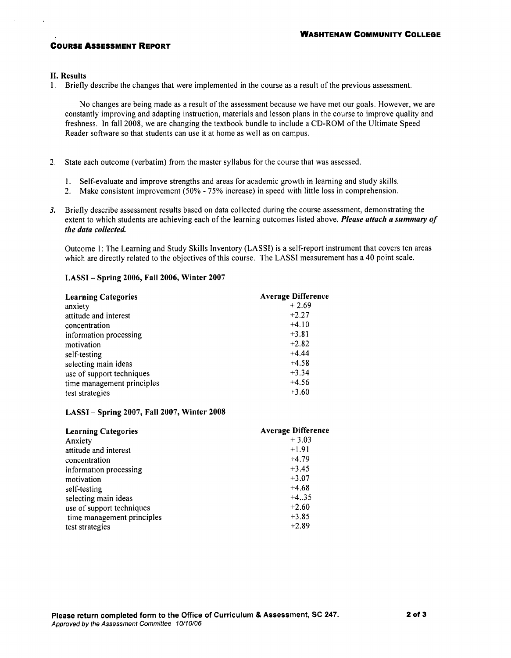#### **II. Results**

1. Briefly describe the changes that were implemented in the course as a result of the previous assessment.

No changes are being made as a result of the assessment because we have met our goals. However, we are constantly improving and adapting instruction, materials and lesson plans in the course to improve quality and freshness. In fall 2008, we are changing the textbook bundle to include a CD-ROM of the Ultimate Speed Reader software so that students can use it at home as well as on campus.

- 2. State each outcome (verbatim) from the master syllabus for the course that was assessed.
	- 1. Self-evaluate and improve strengths and areas for academic growth in learning and study skills.
	- 2. Make consistent improvement (50% 75% increase) in speed with little loss in comprehension.
- 3. Briefly describe assessment results based on data collected during the course assessment, demonstrating the extent to which students are achieving each of the learning outcomes listed above. Please attach a summary of the data collected.

Outcome 1: The Learning and Study Skills Inventory (LASSI) is a self-report instrument that covers ten areas which are directly related to the objectives of this course. The LASSI measurement has a 40 point scale.

#### LASSI - Spring 2006, Fall 2006, Winter 2007

| <b>Learning Categories</b> | <b>Average Difference</b> |
|----------------------------|---------------------------|
| anxiety                    | $+2.69$                   |
| attitude and interest      | $+2.27$                   |
| concentration              | $+4.10$                   |
| information processing     | $+3.81$                   |
| motivation                 | $+2.82$                   |
| self-testing               | $+4.44$                   |
| selecting main ideas       | $+4.58$                   |
| use of support techniques  | $+3.34$                   |
| time management principles | $+4.56$                   |
| test strategies            | $+3.60$                   |

#### LASSI-Spring 2007, Fall 2007, Winter 2008

| <b>Learning Categories</b> | <b>Average Difference</b> |
|----------------------------|---------------------------|
| Anxiety                    | $+3.03$                   |
| attitude and interest      | $+1.91$                   |
| concentration              | $+4.79$                   |
| information processing     | $+3.45$                   |
| motivation                 | $+3.07$                   |
| self-testing               | $+4.68$                   |
| selecting main ideas       | $+4.35$                   |
| use of support techniques  | $+2.60$                   |
| time management principles | $+3.85$                   |
| test strategies            | $+2.89$                   |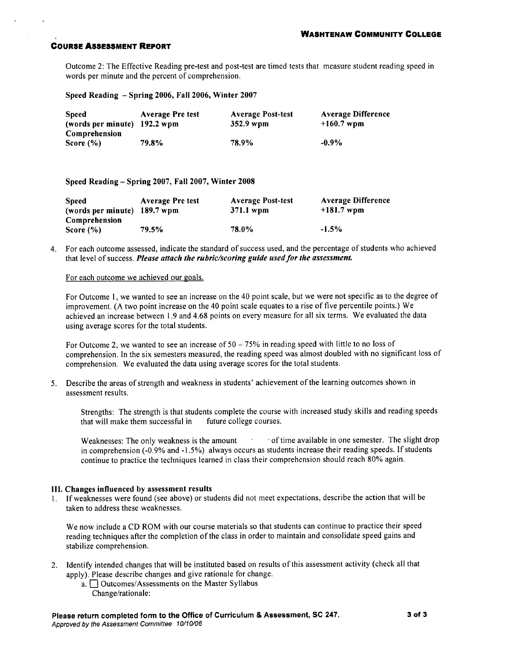Outcome 2: The Effective Reading pre-test and post-test are timed tests that measure student reading speed in words per minute and the percent of comprehension.

Speed Reading - Spring 2006, Fall 2006, Winter 2007

| <b>Speed</b><br>(words per minute) 192.2 wpm | <b>Average Pre test</b> | <b>Average Post-test</b><br>352.9 wpm | <b>Average Difference</b><br>$+160.7$ wpm |
|----------------------------------------------|-------------------------|---------------------------------------|-------------------------------------------|
| Comprehension                                |                         |                                       |                                           |
| Score $(\% )$                                | 79.8%                   | 78.9%                                 | $-0.9\%$                                  |

Speed Reading – Spring 2007, Fall 2007, Winter 2008

| <b>Speed</b>                   | <b>Average Pre test</b> | <b>Average Post-test</b> | <b>Average Difference</b> |
|--------------------------------|-------------------------|--------------------------|---------------------------|
| (words per minute) 189.7 wpm   |                         | 371.1 wpm                | $+181.7$ wpm              |
| Comprehension<br>Score $(\% )$ | 79.5%                   | 78.0%                    | $-1.5%$                   |

4. For each outcome assessed, indicate the standard of success used, and the percentage of students who achieved that level of success. Please attach the rubric/scoring guide used for the assessment.

#### For each outcome we achieved our goals.

For Outcome 1, we wanted to see an increase on the 40 point scale, but we were not specific as to the degree of improvement. (A two point increase on the 40 point scale equates to a rise of five percentile points.) We achieved an increase between 1.9 and 4.68 points on every measure for all six terms. We evaluated the data using average scores for the total students.

For Outcome 2, we wanted to see an increase of  $50 - 75\%$  in reading speed with little to no loss of comprehension. In the six semesters measured, the reading speed was almost doubled with no significant loss of comprehension. We evaluated the data using average scores for the total students.

5. Describe the areas of strength and weakness in students' achievement of the learning outcomes shown in assessment results.

Strengths: The strength is that students complete the course with increased study skills and reading speeds that will make them successful in future college courses.

 $\sim$ of time available in one semester. The slight drop Weaknesses: The only weakness is the amount in comprehension (-0.9% and -1.5%) always occurs as students increase their reading speeds. If students continue to practice the techniques learned in class their comprehension should reach 80% again.

#### III. Changes influenced by assessment results

1. If weaknesses were found (see above) or students did not meet expectations, describe the action that will be taken to address these weaknesses.

We now include a CD ROM with our course materials so that students can continue to practice their speed reading techniques after the completion of the class in order to maintain and consolidate speed gains and stabilize comprehension.

- 2. Identify intended changes that will be instituted based on results of this assessment activity (check all that apply). Please describe changes and give rationale for change.
	- a. <sup>Outcomes/Assessments on the Master Syllabus</sup> Change/rationale: